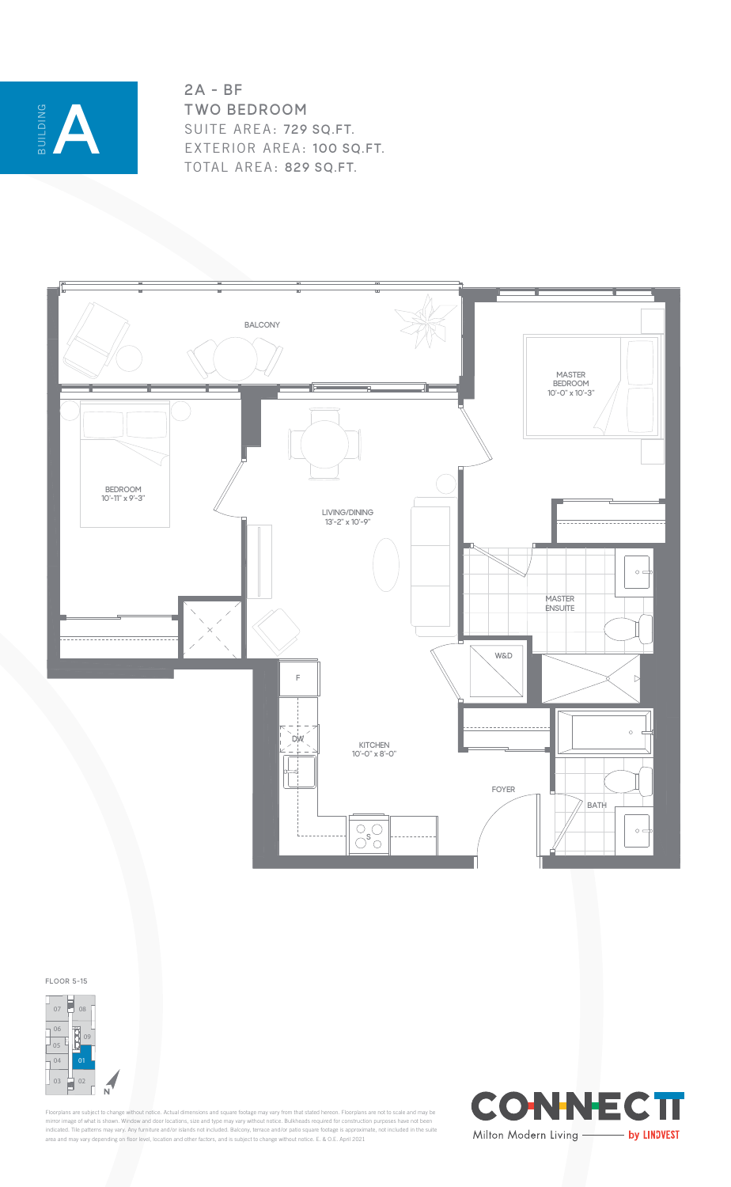

**2A - BF TWO BEDROOM** SUITE AREA: **729 SQ.FT.** EXTERIOR AREA: **100 SQ.FT.** TOTAL AREA: **829 SQ.FT.**



**KEYPLANS FLOOR 5-15** 2 BEDROOM + 2 BATH 2 BATH 2 BATH 2 BATH 2 BATH 2 BATH 2 BATH 2 BATH 2 BATH 2 BATH 2 BATH 2 BATH 2 BATH 2 BATH 2 BATH 2 BATH 2 BATH 2 BATH 2 BATH 2 BATH 2 BATH 2 BATH 2 BATH 2 BATH 2 BATH 2 BATH 2 BATH 2 BATH 2 **FLOOR 5-15** 



Floorplans are subject to change without notice. Actual dimensions and square footage may vary from that stated hereon. Floorplans are not to scale and may be<br>mirror image of what is shown. Window and door locations, size Floorplans are subject to change without notice. Actual dimensions and square footage may vary from that stated hereon. Floorplans are not to scale and may be<br>mirror image of what is shown. Window and door locations, size

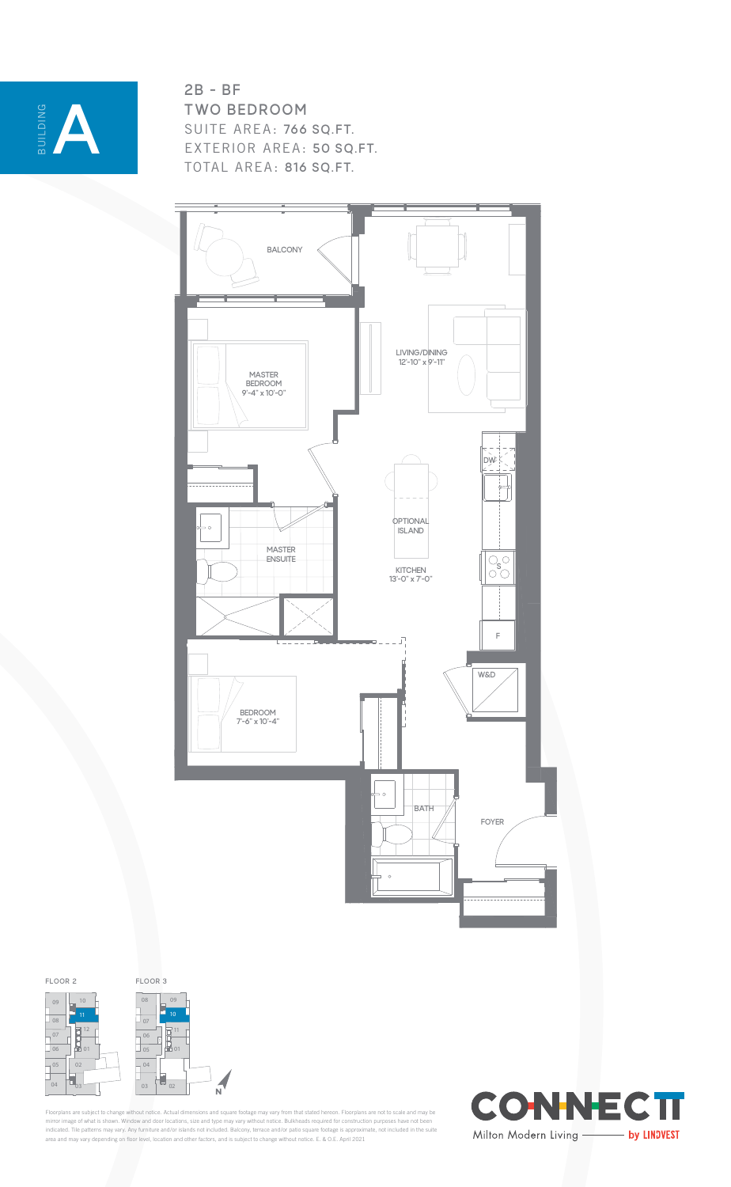

**2B - BF TWO BEDROOM** SUITE AREA: **766 SQ.FT.** EXTERIOR AREA: **50 SQ.FT.** TOTAL AREA: **816 SQ.FT.**





06 07

08



Floorplans are subject to change without notice. Actual dimensions and square footage may vary from that stated hereon. Floorplans are not to scale and may be<br>mirror image of what is shown. Window and door locations, size rea and may va door locations, size and type may value and/or islands not included. Balc<br>location and other factors, and is sul

**CONNE** Milton Modern Living - by LINDVEST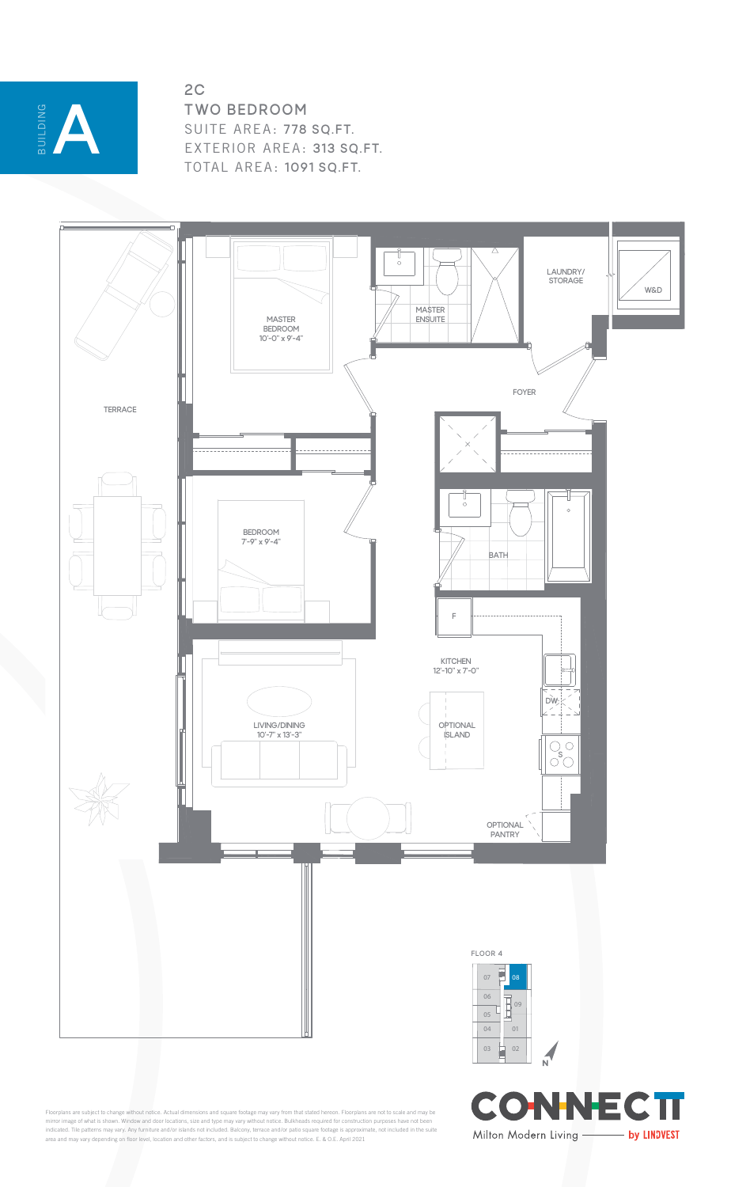

## **2C TWO BEDROOM** SUITE AREA: **778 SQ.FT.** EXTERIOR AREA: **313 SQ.FT.** TOTAL AREA: **1091 SQ.FT.**



Floorplans are subject to change without notice. Actual dimensions and square footage may vary from that stated hereon. Floorplans are not to scale and may be<br>mirror image of what is shown. Window and door locations, size to change without r<br>Shown. Window an 72.<br>27 sqm / 778 sqt / 778 sqt / 778 sqt / 778 sqt / 778 sqt / 778 sqt / 778 sqt / 778 sqt / 778 sqt / 778 sqt

**NNEC** CO Milton Modern Living - by LINDVEST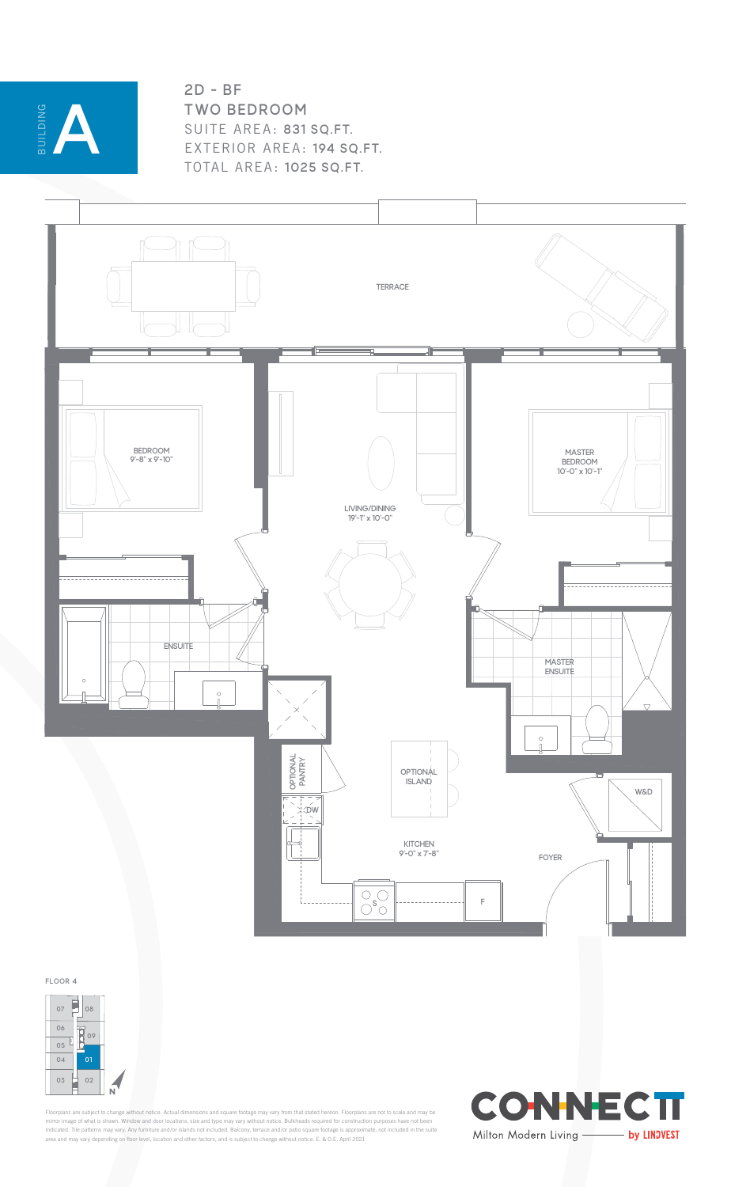

**2D - BF TWO BEDROOM** SUITE AREA: **831 SQ.FT.** EXTERIOR AREA: **194 SQ.FT.** TOTAL AREA: **1025 SQ.FT.**



FLOOR 4



Floorplans are subject to change without notice. Actual dimensions and square footage may vary from that stated hereon. Floorplans are not to scale and may be<br>mirror image of what is shown. Window and door locations, size oorplans are subject to change without notice. Actual dimensions and square footage may vary from that stated hereon. Floorplans are not to scale and may be<br>Irror image of what is shown. Window and door locations, size and

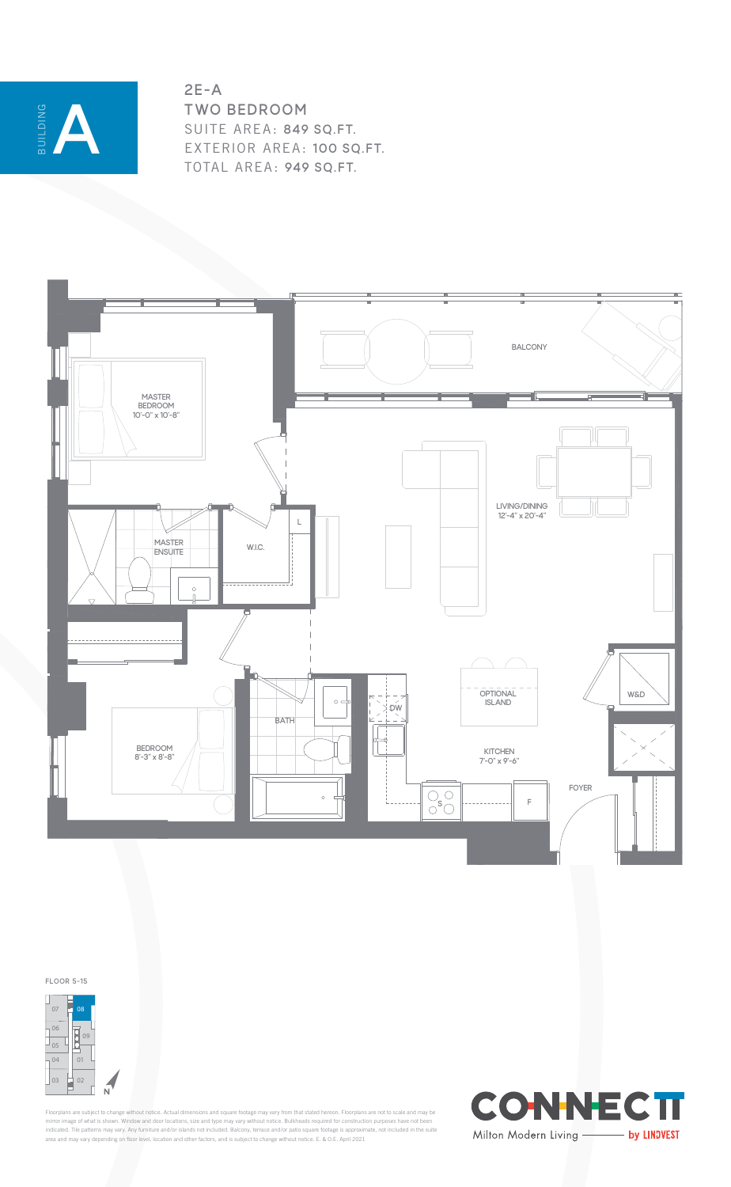

**2E-A TWO BEDROOM** SUITE AREA: **849 SQ.FT.** EXTERIOR AREA: **100 SQ.FT.** TOTAL AREA: **949 SQ.FT.**



**FLOOR 5-15** 



Floorplans are subject to change without notice. Actual dimensions and square footage may vary from that stated hereon. Floorplans are not to scale and may be<br>mirror image of what is shown. Window and door locations, size Floorplans are subject to change without not<br>mirror image of what is shown. Window and<br>indicated. Tile patterns may yary. Any furnity

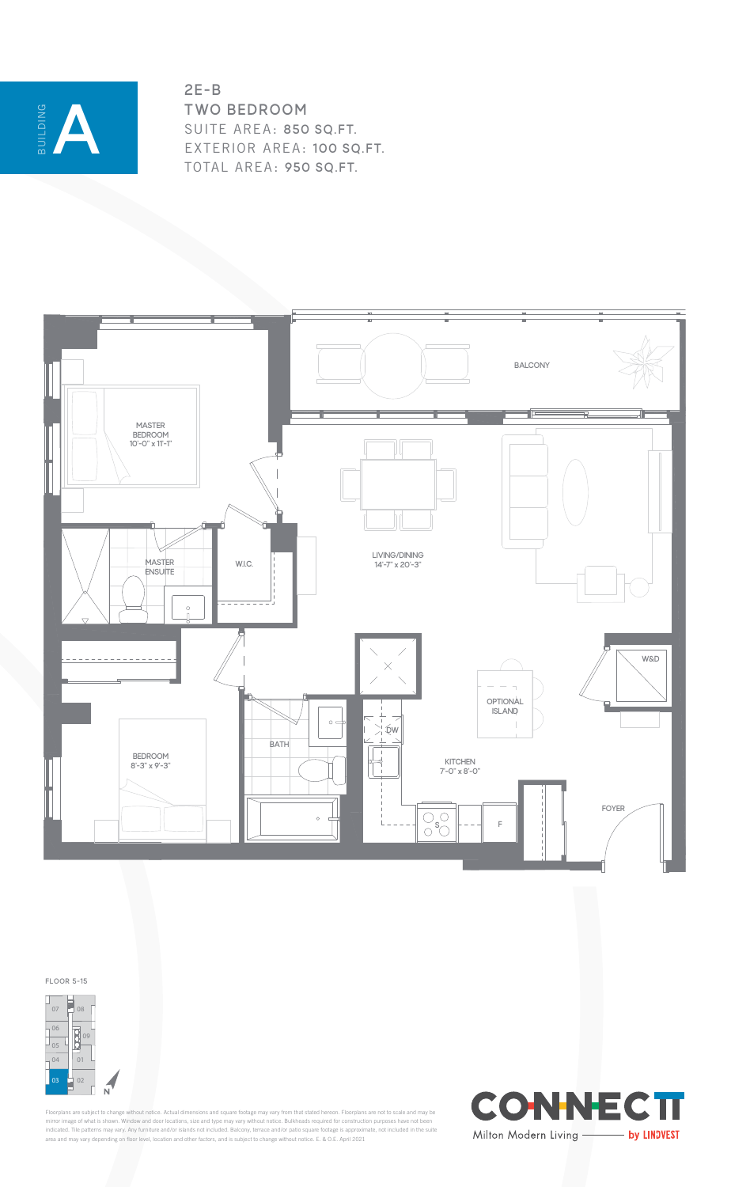

**2E-B TWO BEDROOM** SUITE AREA: **850 SQ.FT.** EXTERIOR AREA: **100 SQ.FT.** TOTAL AREA: **950 SQ.FT.**



**FLOOR 5-15** 



Floorplans are subject to change without notice. Actual dimensions and square footage may vary from that stated hereon. Floorplans are not to scale and may be<br>mirror image of what is shown. Window and door locations, size vary. Any furnitu Archives and the state of the state of the state of the state of the state of the state of the state of the state of the state of the state of the state of the state of the state of the **Modern Livi**ng depending on floor l **LEOOrplans are subject to:**<br>mirror image of what is

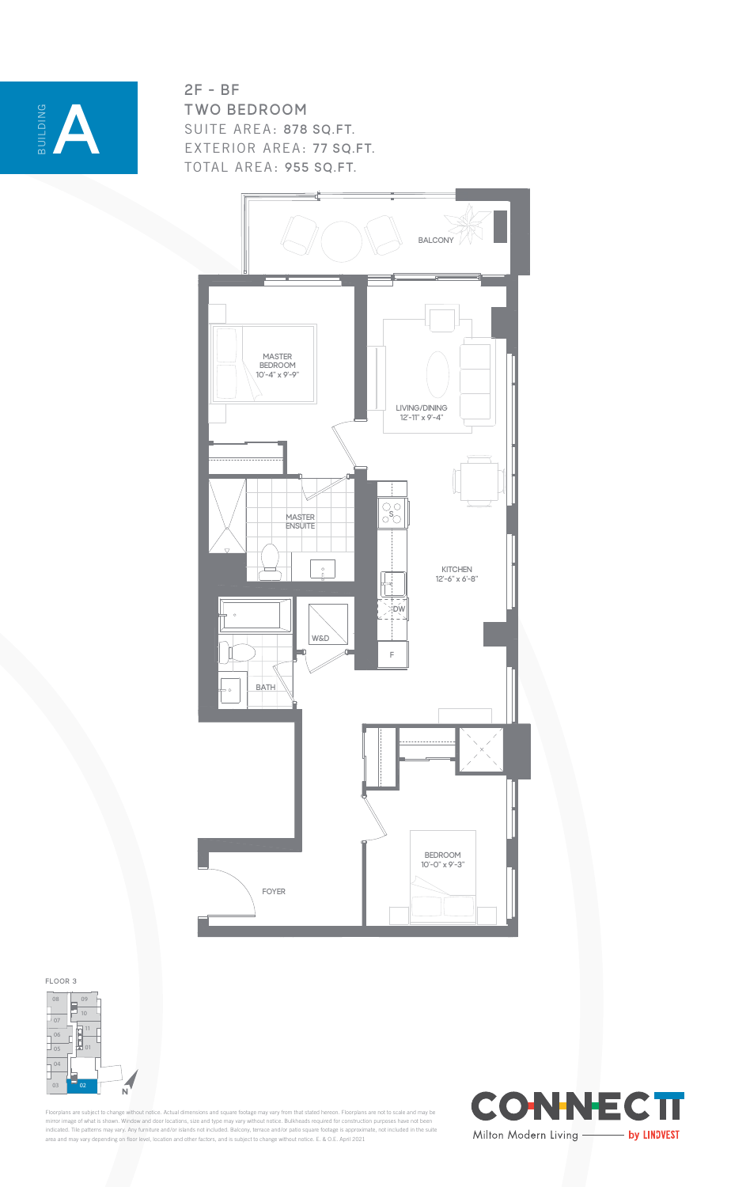

**2F - BF TWO BEDROOM** SUITE AREA: **878 SQ.FT.** EXTERIOR AREA: **77 SQ.FT.** TOTAL AREA: **955 SQ.FT.**



FLOOR 3



Floorplans are subject to change without notice. Actual dimensions and square footage may vary from that stated hereon. Floorplans are not to scale and may be<br>mirror image of what is shown. Window and door locations, size **L**orplans are sub